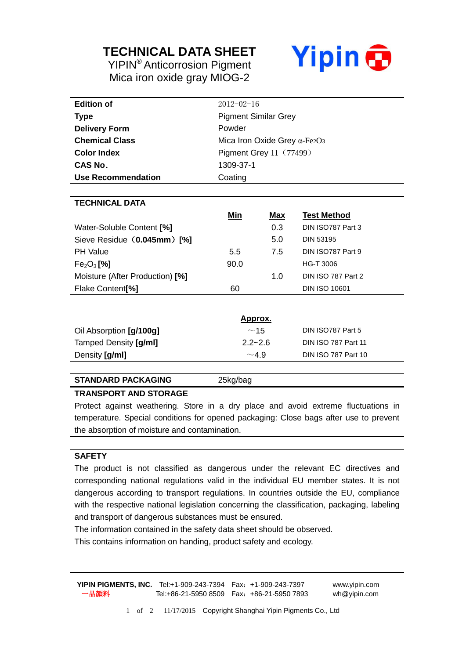## **TECHNICAL DATA SHEET**

YIPIN® Anticorrosion Pigment Mica iron oxide gray MIOG-2



| <b>Edition of</b>                  | $2012 - 02 - 16$                                 |            |                            |  |
|------------------------------------|--------------------------------------------------|------------|----------------------------|--|
| <b>Type</b>                        | <b>Pigment Similar Grey</b>                      |            |                            |  |
| <b>Delivery Form</b>               | Powder                                           |            |                            |  |
| <b>Chemical Class</b>              | Mica Iron Oxide Grey $\alpha$ -Fe2O <sub>3</sub> |            |                            |  |
| <b>Color Index</b>                 | <b>Pigment Grey 11 (77499)</b>                   |            |                            |  |
| CAS No.                            | 1309-37-1                                        |            |                            |  |
| <b>Use Recommendation</b>          | Coating                                          |            |                            |  |
|                                    |                                                  |            |                            |  |
| <b>TECHNICAL DATA</b>              |                                                  |            |                            |  |
|                                    | Min                                              | <u>Max</u> | <b>Test Method</b>         |  |
| Water-Soluble Content [%]          |                                                  | 0.3        | DIN ISO787 Part 3          |  |
| Sieve Residue (0.045mm) [%]        |                                                  | 5.0        | <b>DIN 53195</b>           |  |
| <b>PH Value</b>                    | 5.5                                              | 7.5        | DIN ISO787 Part 9          |  |
| Fe <sub>2</sub> O <sub>3</sub> [%] | 90.0                                             |            | <b>HG-T 3006</b>           |  |
| Moisture (After Production) [%]    |                                                  | 1.0        | DIN ISO 787 Part 2         |  |
| Flake Content <sup>[%]</sup>       | 60                                               |            | <b>DIN ISO 10601</b>       |  |
|                                    |                                                  |            |                            |  |
|                                    | <u>Approx.</u>                                   |            |                            |  |
| Oil Absorption [g/100g]            | $~\sim$ 15                                       |            | DIN ISO787 Part 5          |  |
| Tamped Density [g/ml]              | $2.2 - 2.6$                                      |            | <b>DIN ISO 787 Part 11</b> |  |

#### **STANDARD PACKAGING** 25kg/bag

#### **TRANSPORT AND STORAGE**

Protect against weathering. Store in a dry place and avoid extreme fluctuations in temperature. Special conditions for opened packaging: Close bags after use to prevent the absorption of moisture and contamination.

Density  $\left[\frac{g}{m}\right]$  **Din ISO 787 Part 10** 

#### **SAFETY**

The product is not classified as dangerous under the relevant EC directives and corresponding national regulations valid in the individual EU member states. It is not dangerous according to transport regulations. In countries outside the EU, compliance with the respective national legislation concerning the classification, packaging, labeling and transport of dangerous substances must be ensured.

The information contained in the safety data sheet should be observed.

This contains information on handing, product safety and ecology.

**YIPIN PIGMENTS, INC.** Tel:+1-909-243-7394 Fax:+1-909-243-7397 www.yipin.com 一品颜料 Tel:+86-21-5950 8509 Fax:+86-21-5950 7893 wh@yipin.com

1 of 2 11/17/2015 Copyright Shanghai Yipin Pigments Co., Ltd